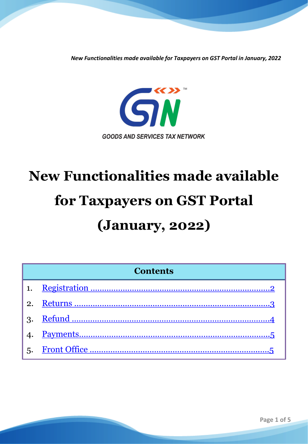

# **New Functionalities made available for Taxpayers on GST Portal (January, 2022)**

| <b>Contents</b> |  |  |
|-----------------|--|--|
|                 |  |  |
| 2.              |  |  |
|                 |  |  |
|                 |  |  |
|                 |  |  |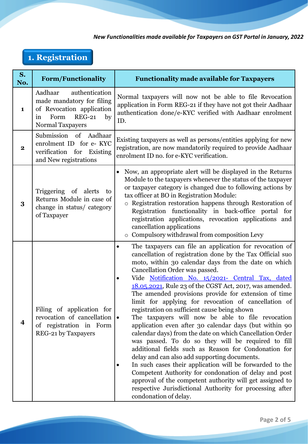# <span id="page-1-0"></span>**1. Registration**

| S.<br>No.    | <b>Form/Functionality</b>                                                                                                                    | <b>Functionality made available for Taxpayers</b>                                                                                                                                                                                                                                                                                                                                                                                                                                                                                                                                                                                                                                                                                                                                                                                                                                                                                                                                                                                                                                                                                       |
|--------------|----------------------------------------------------------------------------------------------------------------------------------------------|-----------------------------------------------------------------------------------------------------------------------------------------------------------------------------------------------------------------------------------------------------------------------------------------------------------------------------------------------------------------------------------------------------------------------------------------------------------------------------------------------------------------------------------------------------------------------------------------------------------------------------------------------------------------------------------------------------------------------------------------------------------------------------------------------------------------------------------------------------------------------------------------------------------------------------------------------------------------------------------------------------------------------------------------------------------------------------------------------------------------------------------------|
| $\mathbf{1}$ | Aadhaar<br>authentication<br>made mandatory for filing<br>of Revocation application<br>Form<br><b>REG-21</b><br>by<br>in<br>Normal Taxpayers | Normal taxpayers will now not be able to file Revocation<br>application in Form REG-21 if they have not got their Aadhaar<br>authentication done/e-KYC verified with Aadhaar enrolment<br>ID.                                                                                                                                                                                                                                                                                                                                                                                                                                                                                                                                                                                                                                                                                                                                                                                                                                                                                                                                           |
| 2            | Submission of Aadhaar<br>enrolment ID for e- KYC<br>verification for Existing<br>and New registrations                                       | Existing taxpayers as well as persons/entities applying for new<br>registration, are now mandatorily required to provide Aadhaar<br>enrolment ID no. for e-KYC verification.                                                                                                                                                                                                                                                                                                                                                                                                                                                                                                                                                                                                                                                                                                                                                                                                                                                                                                                                                            |
| 3            | Triggering of alerts<br>to<br>Returns Module in case of<br>change in status/ category<br>of Taxpayer                                         | Now, an appropriate alert will be displayed in the Returns<br>Module to the taxpayers whenever the status of the taxpayer<br>or taxpayer category is changed due to following actions by<br>tax officer at BO in Registration Module:<br>o Registration restoration happens through Restoration of<br>Registration functionality in back-office portal for<br>registration applications, revocation applications and<br>cancellation applications<br>o Compulsory withdrawal from composition Levy                                                                                                                                                                                                                                                                                                                                                                                                                                                                                                                                                                                                                                      |
| 4            | Filing of application for<br>revocation of cancellation<br>of registration in Form<br>REG-21 by Taxpayers                                    | The taxpayers can file an application for revocation of<br>$\bullet$<br>cancellation of registration done by the Tax Official suo<br>moto, within 30 calendar days from the date on which<br>Cancellation Order was passed.<br>Vide Notification No. 15/2021- Central Tax, dated<br>18.05.2021, Rule 23 of the CGST Act, 2017, was amended.<br>The amended provisions provide for extension of time<br>limit for applying for revocation of cancellation of<br>registration on sufficient cause being shown<br>The taxpayers will now be able to file revocation<br>$\bullet$<br>application even after 30 calendar days (but within 90<br>calendar days) from the date on which Cancellation Order<br>was passed. To do so they will be required to fill<br>additional fields such as Reason for Condonation for<br>delay and can also add supporting documents.<br>In such cases their application will be forwarded to the<br>Competent Authority for condonation of delay and post<br>approval of the competent authority will get assigned to<br>respective Jurisdictional Authority for processing after<br>condonation of delay. |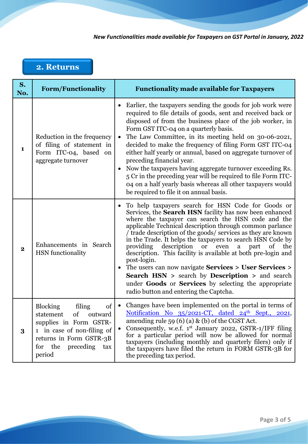## <span id="page-2-0"></span>**2. Returns**

| S.<br>No. | <b>Form/Functionality</b>                                                                                                                                                                 | <b>Functionality made available for Taxpayers</b>                                                                                                                                                                                                                                                                                                                                                                                                                                                                                                                                                                                                                                                                                                    |
|-----------|-------------------------------------------------------------------------------------------------------------------------------------------------------------------------------------------|------------------------------------------------------------------------------------------------------------------------------------------------------------------------------------------------------------------------------------------------------------------------------------------------------------------------------------------------------------------------------------------------------------------------------------------------------------------------------------------------------------------------------------------------------------------------------------------------------------------------------------------------------------------------------------------------------------------------------------------------------|
| 1         | Reduction in the frequency<br>of filing of statement in<br>Form ITC-04, based on<br>aggregate turnover                                                                                    | Earlier, the taxpayers sending the goods for job work were<br>required to file details of goods, sent and received back or<br>disposed of from the business place of the job worker, in<br>Form GST ITC-04 on a quarterly basis.<br>The Law Committee, in its meeting held on 30-06-2021,<br>decided to make the frequency of filing Form GST ITC-04<br>either half yearly or annual, based on aggregate turnover of<br>preceding financial year.<br>Now the taxpayers having aggregate turnover exceeding Rs.<br>5 Cr in the preceding year will be required to file Form ITC-<br>04 on a half yearly basis whereas all other taxpayers would<br>be required to file it on annual basis.                                                            |
| $\bf{2}$  | Enhancements in Search<br><b>HSN</b> functionality                                                                                                                                        | To help taxpayers search for HSN Code for Goods or<br>Services, the Search HSN facility has now been enhanced<br>where the taxpayer can search the HSN code and the<br>applicable Technical description through common parlance<br>Trade description of the goods/ services as they are known<br>in the Trade. It helps the taxpayers to search HSN Code by<br>providing<br>description<br><b>or</b><br>even<br>part<br>of<br>the<br>a<br>description. This facility is available at both pre-login and<br>post-login.<br>• The users can now navigate Services > User Services ><br><b>Search HSN</b> > search by <b>Description</b> > and search<br>under Goods or Services by selecting the appropriate<br>radio button and entering the Captcha. |
| 3         | <b>Blocking</b><br>filing<br>of<br>statement<br>of<br>outward<br>supplies in Form GSTR-<br>1 in case of non-filing of<br>returns in Form GSTR-3B<br>for the<br>preceding<br>tax<br>period | Changes have been implemented on the portal in terms of<br>$\bullet$<br>Notification No 35/2021-CT, dated 24 <sup>th</sup> Sept., 2021,<br>amending rule 59 (6) (a) $\&$ (b) of the CGST Act.<br>Consequently, w.e.f. 1st January 2022, GSTR-1/IFF filing<br>for a particular period will now be allowed for normal<br>taxpayers (including monthly and quarterly filers) only if<br>the taxpayers have filed the return in FORM GSTR-3B for<br>the preceding tax period.                                                                                                                                                                                                                                                                            |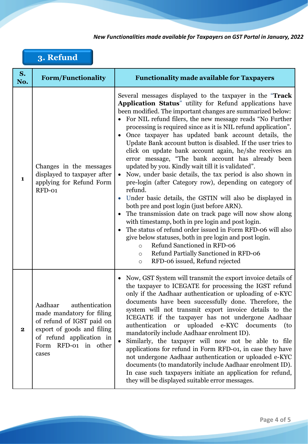## <span id="page-3-0"></span>**3. Refund**

| S.<br>No.    | <b>Form/Functionality</b>                                                                                                                                                         | <b>Functionality made available for Taxpayers</b>                                                                                                                                                                                                                                                                                                                                                                                                                                                                                                                                                                                                                                                                                                                                                                                                                                                                                                                                                                                                                                                                                                                                                                                                            |
|--------------|-----------------------------------------------------------------------------------------------------------------------------------------------------------------------------------|--------------------------------------------------------------------------------------------------------------------------------------------------------------------------------------------------------------------------------------------------------------------------------------------------------------------------------------------------------------------------------------------------------------------------------------------------------------------------------------------------------------------------------------------------------------------------------------------------------------------------------------------------------------------------------------------------------------------------------------------------------------------------------------------------------------------------------------------------------------------------------------------------------------------------------------------------------------------------------------------------------------------------------------------------------------------------------------------------------------------------------------------------------------------------------------------------------------------------------------------------------------|
| $\mathbf{1}$ | Changes in the messages<br>displayed to taxpayer after<br>applying for Refund Form<br>RFD-01                                                                                      | Several messages displayed to the taxpayer in the "Track<br>Application Status" utility for Refund applications have<br>been modified. The important changes are summarized below:<br>• For NIL refund filers, the new message reads "No Further<br>processing is required since as it is NIL refund application".<br>Once taxpayer has updated bank account details, the<br>Update Bank account button is disabled. If the user tries to<br>click on update bank account again, he/she receives an<br>error message, "The bank account has already been<br>updated by you. Kindly wait till it is validated".<br>Now, under basic details, the tax period is also shown in<br>pre-login (after Category row), depending on category of<br>refund.<br>Under basic details, the GSTIN will also be displayed in<br>both pre and post login (just before ARN).<br>The transmission date on track page will now show along<br>$\bullet$<br>with timestamp, both in pre login and post login.<br>The status of refund order issued in Form RFD-06 will also<br>give below statuses, both in pre login and post login.<br>Refund Sanctioned in RFD-06<br>$\circ$<br>Refund Partially Sanctioned in RFD-06<br>$\circ$<br>RFD-06 issued, Refund rejected<br>$\circ$ |
| $\bf{2}$     | authentication<br>Aadhaar<br>made mandatory for filing<br>of refund of IGST paid on<br>export of goods and filing<br>of refund application in<br>RFD-01 in other<br>Form<br>cases | Now, GST System will transmit the export invoice details of<br>the taxpayer to ICEGATE for processing the IGST refund<br>only if the Aadhaar authentication or uploading of e-KYC<br>documents have been successfully done. Therefore, the<br>system will not transmit export invoice details to the<br>ICEGATE if the taxpayer has not undergone Aadhaar<br>authentication or uploaded e-KYC documents<br>(to<br>mandatorily include Aadhaar enrolment ID).<br>Similarly, the taxpayer will now not be able to file<br>applications for refund in Form RFD-01, in case they have<br>not undergone Aadhaar authentication or uploaded e-KYC<br>documents (to mandatorily include Aadhaar enrolment ID).<br>In case such taxpayers initiate an application for refund,<br>they will be displayed suitable error messages.                                                                                                                                                                                                                                                                                                                                                                                                                                     |